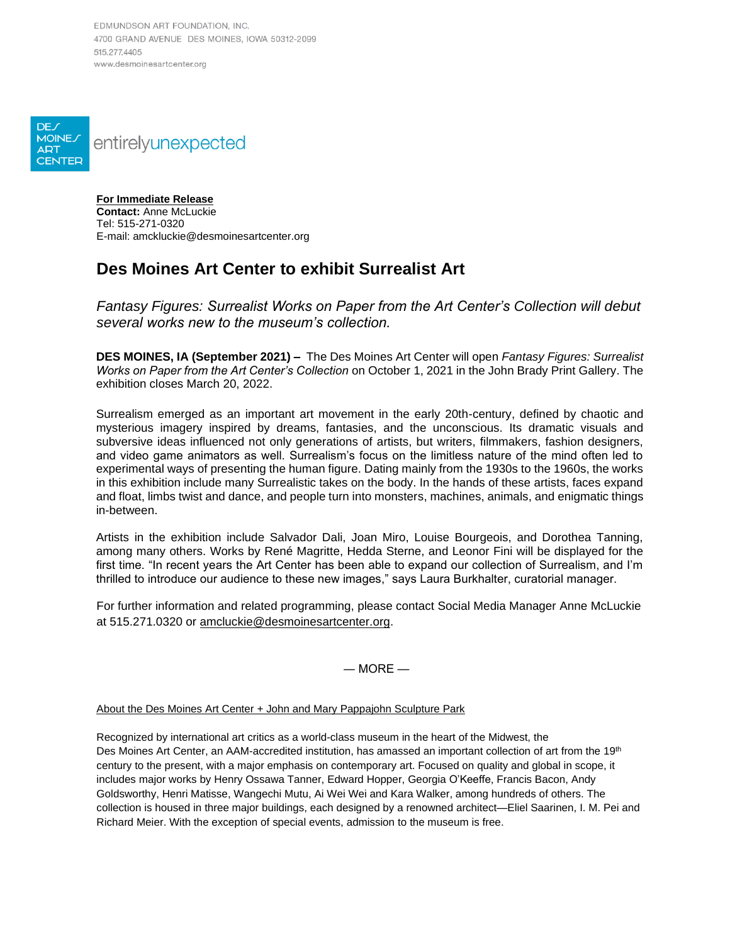EDMUNDSON ART FOUNDATION, INC. 4700 GRAND AVENUE DES MOINES, IOWA 50312-2099 515 277 4405 www.desmoinesartcenter.org



**For Immediate Release Contact:** Anne McLuckie Tel: 515-271-0320 E-mail: amckluckie@desmoinesartcenter.org

## **Des Moines Art Center to exhibit Surrealist Art**

*Fantasy Figures: Surrealist Works on Paper from the Art Center's Collection will debut several works new to the museum's collection.* 

**DES MOINES, IA (September 2021) –** The Des Moines Art Center will open *Fantasy Figures: Surrealist Works on Paper from the Art Center's Collection* on October 1, 2021 in the John Brady Print Gallery. The exhibition closes March 20, 2022.

Surrealism emerged as an important art movement in the early 20th-century, defined by chaotic and mysterious imagery inspired by dreams, fantasies, and the unconscious. Its dramatic visuals and subversive ideas influenced not only generations of artists, but writers, filmmakers, fashion designers, and video game animators as well. Surrealism's focus on the limitless nature of the mind often led to experimental ways of presenting the human figure. Dating mainly from the 1930s to the 1960s, the works in this exhibition include many Surrealistic takes on the body. In the hands of these artists, faces expand and float, limbs twist and dance, and people turn into monsters, machines, animals, and enigmatic things in-between.

Artists in the exhibition include Salvador Dali, Joan Miro, Louise Bourgeois, and Dorothea Tanning, among many others. Works by René Magritte, Hedda Sterne, and Leonor Fini will be displayed for the first time. "In recent years the Art Center has been able to expand our collection of Surrealism, and I'm thrilled to introduce our audience to these new images," says Laura Burkhalter, curatorial manager.

For further information and related programming, please contact Social Media Manager Anne McLuckie at 515.271.0320 or [amcluckie@desmoinesartcenter.org.](mailto:amcluckie@desmoinesartcenter.org)

 $-$  MORE  $-$ 

About the Des Moines Art Center + John and Mary Pappajohn Sculpture Park

Recognized by international art critics as a world-class museum in the heart of the Midwest, the Des Moines Art Center, an AAM-accredited institution, has amassed an important collection of art from the 19<sup>th</sup> century to the present, with a major emphasis on contemporary art. Focused on quality and global in scope, it includes major works by Henry Ossawa Tanner, Edward Hopper, Georgia O'Keeffe, Francis Bacon, Andy Goldsworthy, Henri Matisse, Wangechi Mutu, Ai Wei Wei and Kara Walker, among hundreds of others. The collection is housed in three major buildings, each designed by a renowned architect—Eliel Saarinen, I. M. Pei and Richard Meier. With the exception of special events, admission to the museum is free.